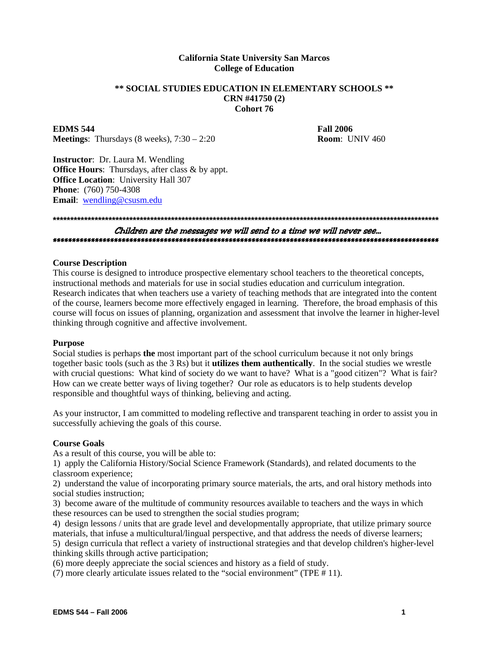# **California State University San Marcos College of Education**

# **\*\* SOCIAL STUDIES EDUCATION IN ELEMENTARY SCHOOLS \*\* CRN #41750 (2) Cohort 76**

**EDMS** 544 **Fall 2006 Meetings**: Thursdays (8 weeks), 7:30 – 2:20 **Room**: UNIV 460

**Instructor**: Dr. Laura M. Wendling **Office Hours:** Thursdays, after class & by appt. **Office Location**: University Hall 307 **Phone**: (760) 750-4308 **Email**: wendling@csusm.edu

# **\*\*\*\*\*\*\*\*\*\*\*\*\*\*\*\*\*\*\*\*\*\*\*\*\*\*\*\*\*\*\*\*\*\*\*\*\*\*\*\*\*\*\*\*\*\*\*\*\*\*\*\*\*\*\*\*\*\*\*\*\*\*\*\*\*\*\*\*\*\*\*\*\*\*\*\*\*\*\*\*\*\*\*\*\*\*\*\*\*\*\*\*\*\*\*\*\*\*\*\*\*\*\*\*\*\*\*\*\*\*\***  Children are the messages we will send to a time we will never see… \*\*\*\*\*\*\*\*\*\*\*\*\*\*\*\*\*\*\*\*\*\*\*\*\*\*\*\*\*\*\*\*\*\*\*\*\*\*\*\*\*\*\*\*\*\*\*\*\*\*\*\*\*\*\*\*\*\*\*\*\*\*\*\*\*\*\*\*\*\*\*\*\*\*\*\*\*\*\*\*\*\*\*\*\*\*\*\*\*\*\*\*\*\*\*\*\*\*\*\*\*

#### **Course Description**

This course is designed to introduce prospective elementary school teachers to the theoretical concepts, instructional methods and materials for use in social studies education and curriculum integration. Research indicates that when teachers use a variety of teaching methods that are integrated into the content of the course, learners become more effectively engaged in learning. Therefore, the broad emphasis of this course will focus on issues of planning, organization and assessment that involve the learner in higher-level thinking through cognitive and affective involvement.

#### **Purpose**

Social studies is perhaps **the** most important part of the school curriculum because it not only brings together basic tools (such as the 3 Rs) but it **utilizes them authentically**. In the social studies we wrestle with crucial questions: What kind of society do we want to have? What is a "good citizen"? What is fair? How can we create better ways of living together? Our role as educators is to help students develop responsible and thoughtful ways of thinking, believing and acting.

As your instructor, I am committed to modeling reflective and transparent teaching in order to assist you in successfully achieving the goals of this course.

#### **Course Goals**

As a result of this course, you will be able to:

1) apply the California History/Social Science Framework (Standards), and related documents to the classroom experience;

2) understand the value of incorporating primary source materials, the arts, and oral history methods into social studies instruction;

3) become aware of the multitude of community resources available to teachers and the ways in which these resources can be used to strengthen the social studies program;

4) design lessons / units that are grade level and developmentally appropriate, that utilize primary source materials, that infuse a multicultural/lingual perspective, and that address the needs of diverse learners;

5) design curricula that reflect a variety of instructional strategies and that develop children's higher-level thinking skills through active participation;

(6) more deeply appreciate the social sciences and history as a field of study.

(7) more clearly articulate issues related to the "social environment" (TPE # 11).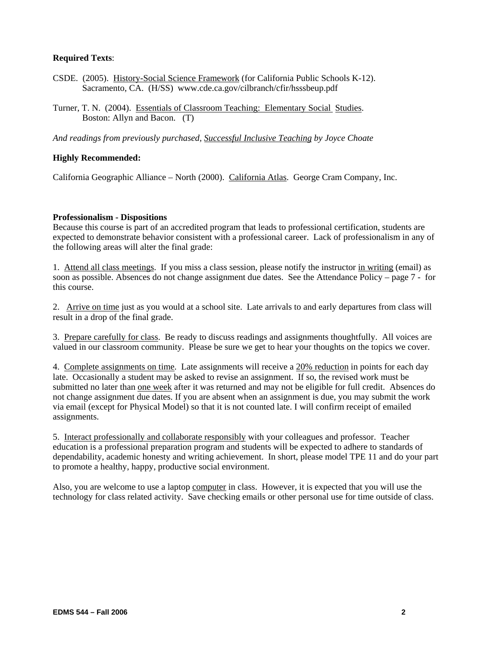# **Required Texts**:

- CSDE. (2005). History-Social Science Framework (for California Public Schools K-12). Sacramento, CA. (H/SS) www.cde.ca.gov/cilbranch/cfir/hsssbeup.pdf
- Turner, T. N. (2004). Essentials of Classroom Teaching: Elementary Social Studies. Boston: Allyn and Bacon. (T)

*And readings from previously purchased, Successful Inclusive Teaching by Joyce Choate* 

# **Highly Recommended:**

California Geographic Alliance – North (2000). California Atlas. George Cram Company, Inc.

#### **Professionalism - Dispositions**

Because this course is part of an accredited program that leads to professional certification, students are expected to demonstrate behavior consistent with a professional career. Lack of professionalism in any of the following areas will alter the final grade:

1. Attend all class meetings. If you miss a class session, please notify the instructor in writing (email) as soon as possible. Absences do not change assignment due dates. See the Attendance Policy – page 7 - for this course.

2. Arrive on time just as you would at a school site. Late arrivals to and early departures from class will result in a drop of the final grade.

3. Prepare carefully for class. Be ready to discuss readings and assignments thoughtfully. All voices are valued in our classroom community. Please be sure we get to hear your thoughts on the topics we cover.

4. Complete assignments on time. Late assignments will receive a 20% reduction in points for each day late. Occasionally a student may be asked to revise an assignment. If so, the revised work must be submitted no later than one week after it was returned and may not be eligible for full credit. Absences do not change assignment due dates. If you are absent when an assignment is due, you may submit the work via email (except for Physical Model) so that it is not counted late. I will confirm receipt of emailed assignments.

5. Interact professionally and collaborate responsibly with your colleagues and professor. Teacher education is a professional preparation program and students will be expected to adhere to standards of dependability, academic honesty and writing achievement. In short, please model TPE 11 and do your part to promote a healthy, happy, productive social environment.

Also, you are welcome to use a laptop computer in class. However, it is expected that you will use the technology for class related activity. Save checking emails or other personal use for time outside of class.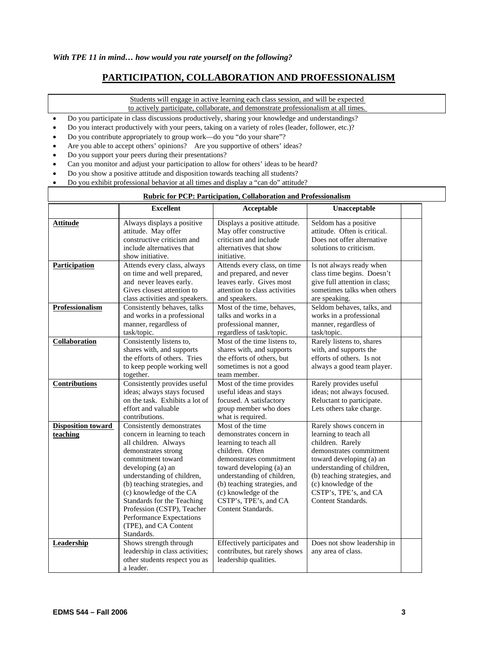# **PARTICIPATION, COLLABORATION AND PROFESSIONALISM**

Students will engage in active learning each class session, and will be expected to actively participate, collaborate, and demonstrate professionalism at all times.

- Do you participate in class discussions productively, sharing your knowledge and understandings?
- Do you interact productively with your peers, taking on a variety of roles (leader, follower, etc.)?
- Do you contribute appropriately to group work—do you "do your share"?
- Are you able to accept others' opinions? Are you supportive of others' ideas?
- Do you support your peers during their presentations?
- Can you monitor and adjust your participation to allow for others' ideas to be heard?
- Do you show a positive attitude and disposition towards teaching all students?
- Do you exhibit professional behavior at all times and display a "can do" attitude?

#### **Rubric for PCP: Participation, Collaboration and Professionalism**

|                                       | <b>Excellent</b>                                                                                                                                                                                                                                                                                                                                                           | Acceptable                                                                                                                                                                                                                                                                          | Unacceptable                                                                                                                                                                                                                                                     |  |
|---------------------------------------|----------------------------------------------------------------------------------------------------------------------------------------------------------------------------------------------------------------------------------------------------------------------------------------------------------------------------------------------------------------------------|-------------------------------------------------------------------------------------------------------------------------------------------------------------------------------------------------------------------------------------------------------------------------------------|------------------------------------------------------------------------------------------------------------------------------------------------------------------------------------------------------------------------------------------------------------------|--|
| <b>Attitude</b>                       | Always displays a positive<br>attitude. May offer<br>constructive criticism and<br>include alternatives that<br>show initiative.                                                                                                                                                                                                                                           | Displays a positive attitude.<br>May offer constructive<br>criticism and include<br>alternatives that show<br>initiative.                                                                                                                                                           | Seldom has a positive<br>attitude. Often is critical.<br>Does not offer alternative<br>solutions to criticism.                                                                                                                                                   |  |
| <b>Participation</b>                  | Attends every class, always<br>on time and well prepared,<br>and never leaves early.<br>Gives closest attention to<br>class activities and speakers.                                                                                                                                                                                                                       | Attends every class, on time<br>and prepared, and never<br>leaves early. Gives most<br>attention to class activities<br>and speakers.                                                                                                                                               | Is not always ready when<br>class time begins. Doesn't<br>give full attention in class;<br>sometimes talks when others<br>are speaking.                                                                                                                          |  |
| Professionalism                       | Consistently behaves, talks<br>and works in a professional<br>manner, regardless of<br>task/topic.                                                                                                                                                                                                                                                                         | Most of the time, behaves,<br>talks and works in a<br>professional manner.<br>regardless of task/topic.                                                                                                                                                                             | Seldom behaves, talks, and<br>works in a professional<br>manner, regardless of<br>task/topic.                                                                                                                                                                    |  |
| Collaboration                         | Consistently listens to,<br>shares with, and supports<br>the efforts of others. Tries<br>to keep people working well<br>together.                                                                                                                                                                                                                                          | Most of the time listens to.<br>shares with, and supports<br>the efforts of others, but<br>sometimes is not a good<br>team member.                                                                                                                                                  | Rarely listens to, shares<br>with, and supports the<br>efforts of others. Is not<br>always a good team player.                                                                                                                                                   |  |
| <b>Contributions</b>                  | Consistently provides useful<br>ideas; always stays focused<br>on the task. Exhibits a lot of<br>effort and valuable<br>contributions.                                                                                                                                                                                                                                     | Most of the time provides<br>useful ideas and stays<br>focused. A satisfactory<br>group member who does<br>what is required.                                                                                                                                                        | Rarely provides useful<br>ideas; not always focused.<br>Reluctant to participate.<br>Lets others take charge.                                                                                                                                                    |  |
| <b>Disposition toward</b><br>teaching | Consistently demonstrates<br>concern in learning to teach<br>all children. Always<br>demonstrates strong<br>commitment toward<br>developing (a) an<br>understanding of children,<br>(b) teaching strategies, and<br>(c) knowledge of the CA<br>Standards for the Teaching<br>Profession (CSTP), Teacher<br>Performance Expectations<br>(TPE), and CA Content<br>Standards. | Most of the time<br>demonstrates concern in<br>learning to teach all<br>children. Often<br>demonstrates commitment<br>toward developing (a) an<br>understanding of children,<br>(b) teaching strategies, and<br>(c) knowledge of the<br>CSTP's, TPE's, and CA<br>Content Standards. | Rarely shows concern in<br>learning to teach all<br>children. Rarely<br>demonstrates commitment<br>toward developing (a) an<br>understanding of children,<br>(b) teaching strategies, and<br>(c) knowledge of the<br>CSTP's, TPE's, and CA<br>Content Standards. |  |
| <b>Leadership</b>                     | Shows strength through<br>leadership in class activities;<br>other students respect you as<br>a leader.                                                                                                                                                                                                                                                                    | Effectively participates and<br>contributes, but rarely shows<br>leadership qualities.                                                                                                                                                                                              | Does not show leadership in<br>any area of class.                                                                                                                                                                                                                |  |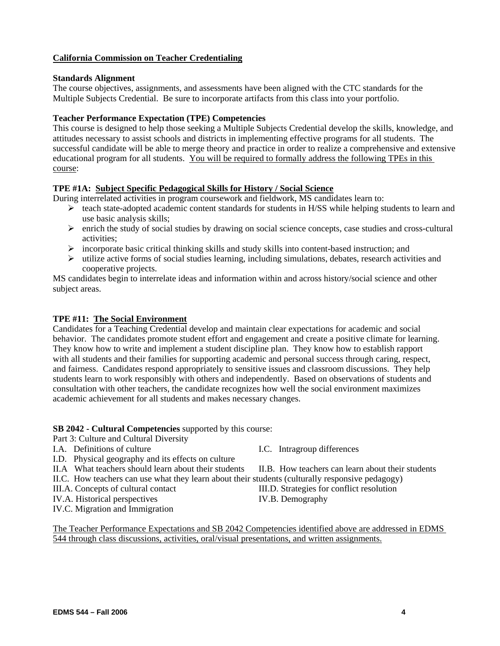# **California Commission on Teacher Credentialing**

# **Standards Alignment**

The course objectives, assignments, and assessments have been aligned with the CTC standards for the Multiple Subjects Credential. Be sure to incorporate artifacts from this class into your portfolio.

# **Teacher Performance Expectation (TPE) Competencies**

This course is designed to help those seeking a Multiple Subjects Credential develop the skills, knowledge, and attitudes necessary to assist schools and districts in implementing effective programs for all students. The successful candidate will be able to merge theory and practice in order to realize a comprehensive and extensive educational program for all students. You will be required to formally address the following TPEs in this course:

# **TPE #1A: Subject Specific Pedagogical Skills for History / Social Science**

During interrelated activities in program coursework and fieldwork, MS candidates learn to:

- ¾ teach state-adopted academic content standards for students in H/SS while helping students to learn and use basic analysis skills;
- $\triangleright$  enrich the study of social studies by drawing on social science concepts, case studies and cross-cultural activities;
- ¾ incorporate basic critical thinking skills and study skills into content-based instruction; and
- $\blacktriangleright$  utilize active forms of social studies learning, including simulations, debates, research activities and cooperative projects.

MS candidates begin to interrelate ideas and information within and across history/social science and other subject areas.

# **TPE #11: The Social Environment**

Candidates for a Teaching Credential develop and maintain clear expectations for academic and social behavior. The candidates promote student effort and engagement and create a positive climate for learning. They know how to write and implement a student discipline plan. They know how to establish rapport with all students and their families for supporting academic and personal success through caring, respect, and fairness. Candidates respond appropriately to sensitive issues and classroom discussions. They help students learn to work responsibly with others and independently. Based on observations of students and consultation with other teachers, the candidate recognizes how well the social environment maximizes academic achievement for all students and makes necessary changes.

#### **SB 2042 - Cultural Competencies** supported by this course:

Part 3: Culture and Cultural Diversity

- I.A. Definitions of culture I.C. Intragroup differences
- I.D. Physical geography and its effects on culture
- II.A What teachers should learn about their students II.B. How teachers can learn about their students
- II.C. How teachers can use what they learn about their students (culturally responsive pedagogy)
- III.A. Concepts of cultural contact III.D. Strategies for conflict resolution
- IV.A. Historical perspectives IV.B. Demography
- IV.C. Migration and Immigration

The Teacher Performance Expectations and SB 2042 Competencies identified above are addressed in EDMS 544 through class discussions, activities, oral/visual presentations, and written assignments.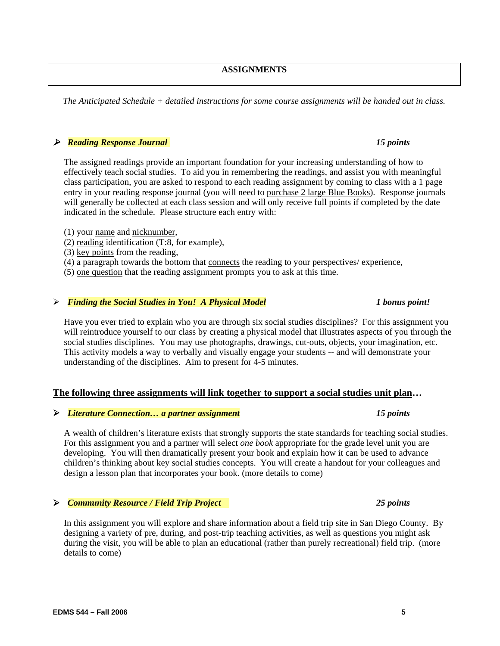# **ASSIGNMENTS**

*The Anticipated Schedule + detailed instructions for some course assignments will be handed out in class.* 

# ¾ *Reading Response Journal 15 points*

The assigned readings provide an important foundation for your increasing understanding of how to effectively teach social studies. To aid you in remembering the readings, and assist you with meaningful class participation, you are asked to respond to each reading assignment by coming to class with a 1 page entry in your reading response journal (you will need to purchase 2 large Blue Books). Response journals will generally be collected at each class session and will only receive full points if completed by the date indicated in the schedule. Please structure each entry with:

- (1) your name and nicknumber,
- (2) reading identification (T:8, for example),
- (3) key points from the reading,
- (4) a paragraph towards the bottom that connects the reading to your perspectives/ experience,
- (5) one question that the reading assignment prompts you to ask at this time.

#### ¾ *Finding the Social Studies in You! A Physical Model 1 bonus point!*

Have you ever tried to explain who you are through six social studies disciplines? For this assignment you will reintroduce yourself to our class by creating a physical model that illustrates aspects of you through the social studies disciplines. You may use photographs, drawings, cut-outs, objects, your imagination, etc. This activity models a way to verbally and visually engage your students -- and will demonstrate your understanding of the disciplines. Aim to present for 4-5 minutes.

### **The following three assignments will link together to support a social studies unit plan…**

#### ¾ *Literature Connection… a partner assignment 15 points*

A wealth of children's literature exists that strongly supports the state standards for teaching social studies. For this assignment you and a partner will select *one book* appropriate for the grade level unit you are developing. You will then dramatically present your book and explain how it can be used to advance children's thinking about key social studies concepts. You will create a handout for your colleagues and design a lesson plan that incorporates your book. (more details to come)

# ¾ *Community Resource / Field Trip Project 25 points*

In this assignment you will explore and share information about a field trip site in San Diego County. By designing a variety of pre, during, and post-trip teaching activities, as well as questions you might ask during the visit, you will be able to plan an educational (rather than purely recreational) field trip. (more details to come)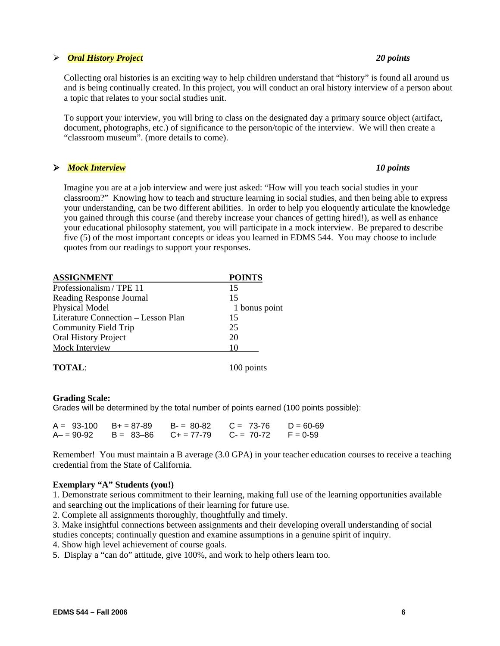# ¾ *Oral History Project 20 points*

Collecting oral histories is an exciting way to help children understand that "history" is found all around us and is being continually created. In this project, you will conduct an oral history interview of a person about a topic that relates to your social studies unit.

To support your interview, you will bring to class on the designated day a primary source object (artifact, document, photographs, etc.) of significance to the person/topic of the interview. We will then create a "classroom museum". (more details to come).

# ¾ *Mock Interview**10 points*

Imagine you are at a job interview and were just asked: "How will you teach social studies in your classroom?" Knowing how to teach and structure learning in social studies, and then being able to express your understanding, can be two different abilities. In order to help you eloquently articulate the knowledge you gained through this course (and thereby increase your chances of getting hired!), as well as enhance your educational philosophy statement, you will participate in a mock interview. Be prepared to describe five (5) of the most important concepts or ideas you learned in EDMS 544. You may choose to include quotes from our readings to support your responses.

| <b>ASSIGNMENT</b>                   | <b>POINTS</b> |
|-------------------------------------|---------------|
| Professionalism / TPE 11            | 15            |
| Reading Response Journal            | 15            |
| Physical Model                      | 1 bonus point |
| Literature Connection - Lesson Plan | 15            |
| <b>Community Field Trip</b>         | 25            |
| Oral History Project                | 20            |
| Mock Interview                      | 10            |
| <b>TOTAL:</b>                       | 100 points    |

#### **Grading Scale:**

Grades will be determined by the total number of points earned (100 points possible):

| $A = 93-100$ $B+=87-89$ | $B = 80-82$ $C = 73-76$ $D = 60-69$                       |  |
|-------------------------|-----------------------------------------------------------|--|
|                         | $A- = 90-92$ B = $83-86$ C + = 77-79 C - = 70-72 F = 0-59 |  |

Remember! You must maintain a B average (3.0 GPA) in your teacher education courses to receive a teaching credential from the State of California.

#### **Exemplary "A" Students (you!)**

1. Demonstrate serious commitment to their learning, making full use of the learning opportunities available and searching out the implications of their learning for future use.

2. Complete all assignments thoroughly, thoughtfully and timely.

3. Make insightful connections between assignments and their developing overall understanding of social studies concepts; continually question and examine assumptions in a genuine spirit of inquiry.

4. Show high level achievement of course goals.

5. Display a "can do" attitude, give 100%, and work to help others learn too.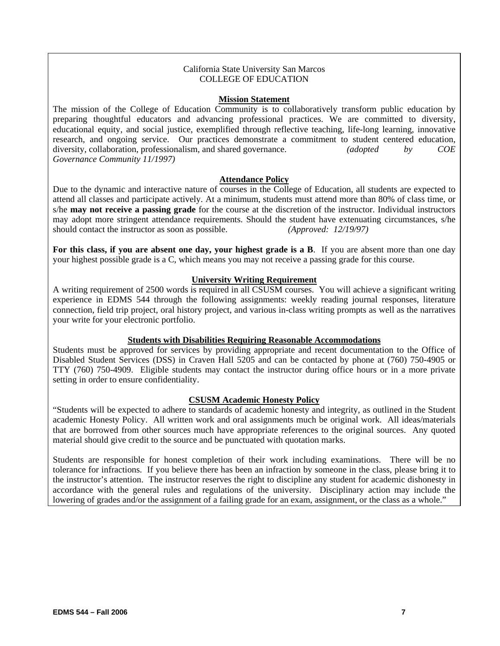# California State University San Marcos COLLEGE OF EDUCATION

### **Mission Statement**

The mission of the College of Education Community is to collaboratively transform public education by preparing thoughtful educators and advancing professional practices. We are committed to diversity, educational equity, and social justice, exemplified through reflective teaching, life-long learning, innovative research, and ongoing service. Our practices demonstrate a commitment to student centered education, diversity, collaboration, professionalism, and shared governance. *(adopted by COE Governance Community 11/1997)*

# **Attendance Policy**

Due to the dynamic and interactive nature of courses in the College of Education, all students are expected to attend all classes and participate actively. At a minimum, students must attend more than 80% of class time, or s/he **may not receive a passing grade** for the course at the discretion of the instructor. Individual instructors may adopt more stringent attendance requirements. Should the student have extenuating circumstances, s/he should contact the instructor as soon as possible. *(Approved: 12/19/97)*

**For this class, if you are absent one day, your highest grade is a B**. If you are absent more than one day your highest possible grade is a C, which means you may not receive a passing grade for this course.

# **University Writing Requirement**

A writing requirement of 2500 words is required in all CSUSM courses. You will achieve a significant writing experience in EDMS 544 through the following assignments: weekly reading journal responses, literature connection, field trip project, oral history project, and various in-class writing prompts as well as the narratives your write for your electronic portfolio.

# **Students with Disabilities Requiring Reasonable Accommodations**

Students must be approved for services by providing appropriate and recent documentation to the Office of Disabled Student Services (DSS) in Craven Hall 5205 and can be contacted by phone at (760) 750-4905 or TTY (760) 750-4909. Eligible students may contact the instructor during office hours or in a more private setting in order to ensure confidentiality.

#### **CSUSM Academic Honesty Policy**

"Students will be expected to adhere to standards of academic honesty and integrity, as outlined in the Student academic Honesty Policy. All written work and oral assignments much be original work. All ideas/materials that are borrowed from other sources much have appropriate references to the original sources. Any quoted material should give credit to the source and be punctuated with quotation marks.

Students are responsible for honest completion of their work including examinations. There will be no tolerance for infractions. If you believe there has been an infraction by someone in the class, please bring it to the instructor's attention. The instructor reserves the right to discipline any student for academic dishonesty in accordance with the general rules and regulations of the university. Disciplinary action may include the lowering of grades and/or the assignment of a failing grade for an exam, assignment, or the class as a whole."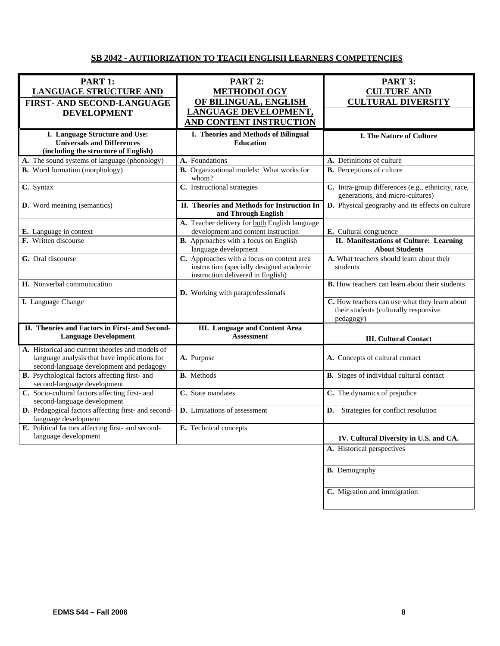# **SB 2042 - AUTHORIZATION TO TEACH ENGLISH LEARNERS COMPETENCIES**

| PART 1:<br><b>LANGUAGE STRUCTURE AND</b>                                                                                                     | PART 2:<br><b>METHODOLOGY</b>                                                                                               | <b>PART 3:</b><br><b>CULTURE AND</b>                                                                |
|----------------------------------------------------------------------------------------------------------------------------------------------|-----------------------------------------------------------------------------------------------------------------------------|-----------------------------------------------------------------------------------------------------|
| <b>FIRST- AND SECOND-LANGUAGE</b><br><b>DEVELOPMENT</b>                                                                                      | OF BILINGUAL, ENGLISH<br>LANGUAGE DEVELOPMENT,<br><b>AND CONTENT INSTRUCTION</b>                                            | <b>CULTURAL DIVERSITY</b>                                                                           |
| I. Language Structure and Use:<br><b>Universals and Differences</b>                                                                          | I. Theories and Methods of Bilingual<br><b>Education</b>                                                                    | I. The Nature of Culture                                                                            |
| (including the structure of English)                                                                                                         |                                                                                                                             |                                                                                                     |
| A. The sound systems of language (phonology)                                                                                                 | A. Foundations<br><b>B.</b> Organizational models: What works for                                                           | A. Definitions of culture<br><b>B.</b> Perceptions of culture                                       |
| <b>B.</b> Word formation (morphology)                                                                                                        | whom?                                                                                                                       |                                                                                                     |
| C. Syntax                                                                                                                                    | C. Instructional strategies                                                                                                 | C. Intra-group differences (e.g., ethnicity, race,<br>generations, and micro-cultures)              |
| D. Word meaning (semantics)                                                                                                                  | II. Theories and Methods for Instruction In<br>and Through English                                                          | D. Physical geography and its effects on culture                                                    |
| E. Language in context                                                                                                                       | A. Teacher delivery for both English language<br>development and content instruction                                        | E. Cultural congruence                                                                              |
| F. Written discourse                                                                                                                         | <b>B.</b> Approaches with a focus on English<br>language development                                                        | II. Manifestations of Culture: Learning<br><b>About Students</b>                                    |
| G. Oral discourse                                                                                                                            | C. Approaches with a focus on content area<br>instruction (specially designed academic<br>instruction delivered in English) | A. What teachers should learn about their<br>students                                               |
| H. Nonverbal communication                                                                                                                   | D. Working with paraprofessionals                                                                                           | <b>B.</b> How teachers can learn about their students                                               |
| I. Language Change                                                                                                                           |                                                                                                                             | C. How teachers can use what they learn about<br>their students (culturally responsive<br>pedagogy) |
| II. Theories and Factors in First- and Second-<br><b>Language Development</b>                                                                | <b>III.</b> Language and Content Area<br><b>Assessment</b>                                                                  | <b>III. Cultural Contact</b>                                                                        |
| A. Historical and current theories and models of<br>language analysis that have implications for<br>second-language development and pedagogy | A. Purpose                                                                                                                  | A. Concepts of cultural contact                                                                     |
| B. Psychological factors affecting first- and<br>second-language development                                                                 | <b>B.</b> Methods                                                                                                           | B. Stages of individual cultural contact                                                            |
| C. Socio-cultural factors affecting first- and<br>second-language development                                                                | C. State mandates                                                                                                           | C. The dynamics of prejudice                                                                        |
| D. Pedagogical factors affecting first- and second-<br>language development                                                                  | D. Limitations of assessment                                                                                                | Strategies for conflict resolution<br>D.                                                            |
| E. Political factors affecting first- and second-<br>language development                                                                    | E. Technical concepts                                                                                                       | IV. Cultural Diversity in U.S. and CA.                                                              |
|                                                                                                                                              |                                                                                                                             | A. Historical perspectives                                                                          |
|                                                                                                                                              |                                                                                                                             | <b>B.</b> Demography                                                                                |
|                                                                                                                                              |                                                                                                                             | C. Migration and immigration                                                                        |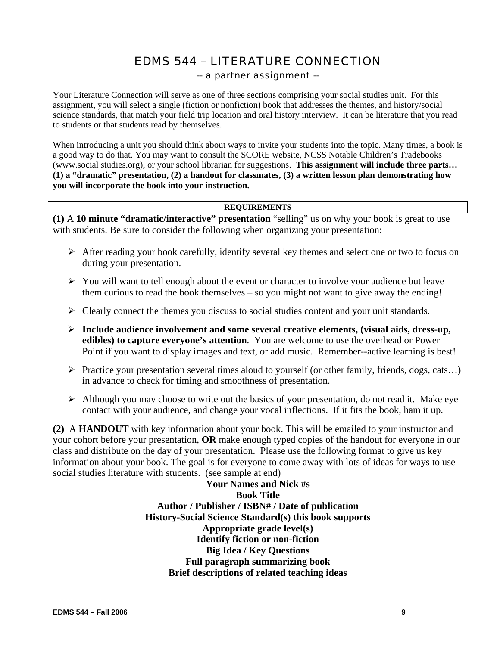# EDMS 544 – LITERATURE CONNECTION

# -- a partner assignment --

Your Literature Connection will serve as one of three sections comprising your social studies unit. For this assignment, you will select a single (fiction or nonfiction) book that addresses the themes, and history/social science standards, that match your field trip location and oral history interview. It can be literature that you read to students or that students read by themselves.

When introducing a unit you should think about ways to invite your students into the topic. Many times, a book is a good way to do that. You may want to consult the SCORE website, NCSS Notable Children's Tradebooks (www.social studies.org), or your school librarian for suggestions. **This assignment will include three parts… (1) a "dramatic" presentation, (2) a handout for classmates, (3) a written lesson plan demonstrating how you will incorporate the book into your instruction.** 

# **REQUIREMENTS**

**(1)** A **10 minute "dramatic/interactive" presentation** "selling" us on why your book is great to use with students. Be sure to consider the following when organizing your presentation:

- $\triangleright$  After reading your book carefully, identify several key themes and select one or two to focus on during your presentation.
- $\triangleright$  You will want to tell enough about the event or character to involve your audience but leave them curious to read the book themselves – so you might not want to give away the ending!
- $\triangleright$  Clearly connect the themes you discuss to social studies content and your unit standards.
- ¾ **Include audience involvement and some several creative elements, (visual aids, dress-up, edibles) to capture everyone's attention**. You are welcome to use the overhead or Power Point if you want to display images and text, or add music. Remember--active learning is best!
- ¾ Practice your presentation several times aloud to yourself (or other family, friends, dogs, cats…) in advance to check for timing and smoothness of presentation.
- $\triangleright$  Although you may choose to write out the basics of your presentation, do not read it. Make eye contact with your audience, and change your vocal inflections. If it fits the book, ham it up.

**(2)** A **HANDOUT** with key information about your book. This will be emailed to your instructor and your cohort before your presentation, **OR** make enough typed copies of the handout for everyone in our class and distribute on the day of your presentation. Please use the following format to give us key information about your book. The goal is for everyone to come away with lots of ideas for ways to use social studies literature with students. (see sample at end)

> **Your Names and Nick #s Book Title Author / Publisher / ISBN# / Date of publication History-Social Science Standard(s) this book supports Appropriate grade level(s) Identify fiction or non-fiction Big Idea / Key Questions Full paragraph summarizing book Brief descriptions of related teaching ideas**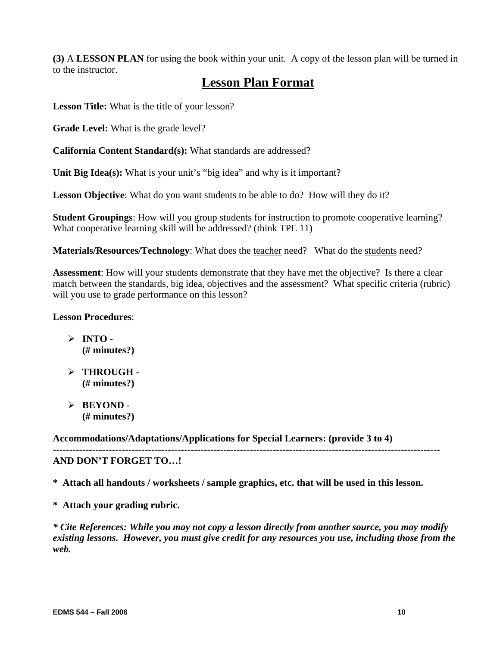**(3)** A **LESSON PLAN** for using the book within your unit. A copy of the lesson plan will be turned in to the instructor.

# **Lesson Plan Format**

**Lesson Title:** What is the title of your lesson?

**Grade Level:** What is the grade level?

**California Content Standard(s):** What standards are addressed?

**Unit Big Idea(s):** What is your unit's "big idea" and why is it important?

**Lesson Objective**: What do you want students to be able to do? How will they do it?

**Student Groupings**: How will you group students for instruction to promote cooperative learning? What cooperative learning skill will be addressed? (think TPE 11)

**Materials/Resources/Technology**: What does the teacher need? What do the students need?

**Assessment**: How will your students demonstrate that they have met the objective? Is there a clear match between the standards, big idea, objectives and the assessment? What specific criteria (rubric) will you use to grade performance on this lesson?

# **Lesson Procedures**:

 $> \overline{INTO}$ . **(# minutes?)**

- ¾ **THROUGH (# minutes?)**
- ¾ **BEYOND (# minutes?)**

**Accommodations/Adaptations/Applications for Special Learners: (provide 3 to 4) ---------------------------------------------------------------------------------------------------------------------- AND DON'T FORGET TO…!** 

**\* Attach all handouts / worksheets / sample graphics, etc. that will be used in this lesson.** 

**\* Attach your grading rubric.** 

*\* Cite References: While you may not copy a lesson directly from another source, you may modify existing lessons. However, you must give credit for any resources you use, including those from the web.*